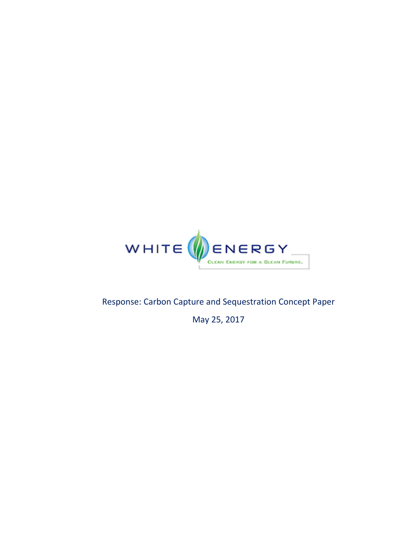

## Response: Carbon Capture and Sequestration Concept Paper

May 25, 2017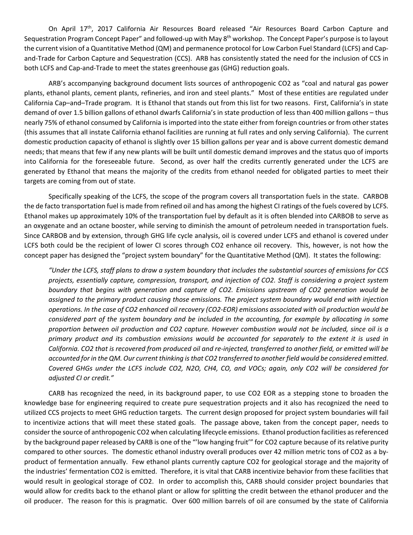On April 17<sup>th</sup>, 2017 California Air Resources Board released "Air Resources Board Carbon Capture and Sequestration Program Concept Paper" and followed-up with May 8<sup>th</sup> workshop. The Concept Paper's purpose is to layout the current vision of a Quantitative Method (QM) and permanence protocol for Low Carbon Fuel Standard (LCFS) and Cap‐ and‐Trade for Carbon Capture and Sequestration (CCS). ARB has consistently stated the need for the inclusion of CCS in both LCFS and Cap-and-Trade to meet the states greenhouse gas (GHG) reduction goals.

ARB's accompanying background document lists sources of anthropogenic CO2 as "coal and natural gas power plants, ethanol plants, cement plants, refineries, and iron and steel plants." Most of these entities are regulated under California Cap–and–Trade program. It is Ethanol that stands out from this list for two reasons. First, California's in state demand of over 1.5 billion gallons of ethanol dwarfs California's in state production of less than 400 million gallons – thus nearly 75% of ethanol consumed by California is imported into the state either from foreign countries or from other states (this assumes that all instate California ethanol facilities are running at full rates and only serving California). The current domestic production capacity of ethanol is slightly over 15 billion gallons per year and is above current domestic demand needs; that means that few if any new plants will be built until domestic demand improves and the status quo of imports into California for the foreseeable future. Second, as over half the credits currently generated under the LCFS are generated by Ethanol that means the majority of the credits from ethanol needed for obligated parties to meet their targets are coming from out of state.

Specifically speaking of the LCFS, the scope of the program covers all transportation fuels in the state. CARBOB the de facto transportation fuel is made from refined oil and has among the highest CI ratings of the fuels covered by LCFS. Ethanol makes up approximately 10% of the transportation fuel by default as it is often blended into CARBOB to serve as an oxygenate and an octane booster, while serving to diminish the amount of petroleum needed in transportation fuels. Since CARBOB and by extension, through GHG life cycle analysis, oil is covered under LCFS and ethanol is covered under LCFS both could be the recipient of lower CI scores through CO2 enhance oil recovery. This, however, is not how the concept paper has designed the "project system boundary" for the Quantitative Method (QM). It states the following:

"Under the LCFS, staff plans to draw a system boundary that includes the substantial sources of emissions for CCS *projects, essentially capture, compression, transport, and injection of CO2. Staff is considering a project system boundary that begins with generation and capture of CO2. Emissions upstream of CO2 generation would be assigned to the primary product causing those emissions. The project system boundary would end with injection* operations. In the case of CO2 enhanced oil recovery (CO2-EOR) emissions associated with oil production would be considered part of the system boundary and be included in the accounting, for example by allocating in some proportion between oil production and CO2 capture. However combustion would not be included, since oil is a primary product and its combustion emissions would be accounted for separately to the extent it is used in California. CO2 that is recovered from produced oil and re-injected, transferred to another field, or emitted will be accounted for in the QM. Our current thinking is that CO2 transferred to another field would be considered emitted. Covered GHGs under the LCFS include CO2, N2O, CH4, CO, and VOCs; again, only CO2 will be considered for *adjusted CI or credit."*

CARB has recognized the need, in its background paper, to use CO2 EOR as a stepping stone to broaden the knowledge base for engineering required to create pure sequestration projects and it also has recognized the need to utilized CCS projects to meet GHG reduction targets. The current design proposed for project system boundaries will fail to incentivize actions that will meet these stated goals. The passage above, taken from the concept paper, needs to consider the source of anthropogenic CO2 when calculating lifecycle emissions. Ethanol production facilities asreferenced by the background paper released by CARB is one of the "'low hanging fruit'" for CO2 capture because of its relative purity compared to other sources. The domestic ethanol industry overall produces over 42 million metric tons of CO2 as a by‐ product of fermentation annually. Few ethanol plants currently capture CO2 for geological storage and the majority of the industries' fermentation CO2 is emitted. Therefore, it is vital that CARB incentivize behavior from these facilities that would result in geological storage of CO2. In order to accomplish this, CARB should consider project boundaries that would allow for credits back to the ethanol plant or allow for splitting the credit between the ethanol producer and the oil producer. The reason for this is pragmatic. Over 600 million barrels of oil are consumed by the state of California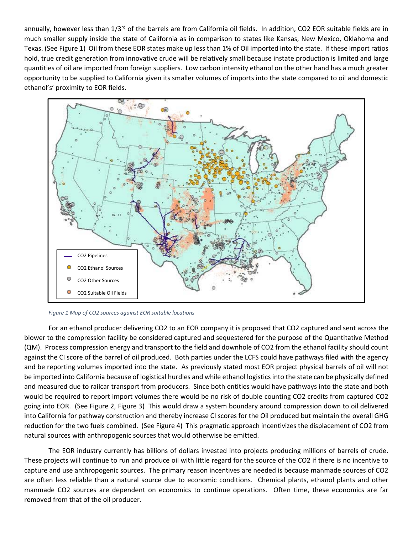annually, however less than 1/3<sup>rd</sup> of the barrels are from California oil fields. In addition, CO2 EOR suitable fields are in much smaller supply inside the state of California as in comparison to states like Kansas, New Mexico, Oklahoma and Texas. (See Figure 1) Oil from these EOR states make up less than 1% of Oil imported into the state. If these import ratios hold, true credit generation from innovative crude will be relatively small because instate production is limited and large quantities of oil are imported from foreign suppliers. Low carbon intensity ethanol on the other hand has a much greater opportunity to be supplied to California given its smaller volumes of imports into the state compared to oil and domestic ethanol's' proximity to EOR fields.



*Figure 1 Map of CO2 sources against EOR suitable locations*

For an ethanol producer delivering CO2 to an EOR company it is proposed that CO2 captured and sent across the blower to the compression facility be considered captured and sequestered for the purpose of the Quantitative Method (QM). Process compression energy and transport to the field and downhole of CO2 from the ethanol facility should count against the CI score of the barrel of oil produced. Both parties under the LCFS could have pathways filed with the agency and be reporting volumes imported into the state. As previously stated most EOR project physical barrels of oil will not be imported into California because of logistical hurdles and while ethanol logistics into the state can be physically defined and measured due to railcar transport from producers. Since both entities would have pathways into the state and both would be required to report import volumes there would be no risk of double counting CO2 credits from captured CO2 going into EOR. (See Figure 2, Figure 3) This would draw a system boundary around compression down to oil delivered into California for pathway construction and thereby increase CI scores for the Oil produced but maintain the overall GHG reduction for the two fuels combined. (See Figure 4) This pragmatic approach incentivizes the displacement of CO2 from natural sources with anthropogenic sources that would otherwise be emitted.

The EOR industry currently has billions of dollars invested into projects producing millions of barrels of crude. These projects will continue to run and produce oil with little regard for the source of the CO2 if there is no incentive to capture and use anthropogenic sources. The primary reason incentives are needed is because manmade sources of CO2 are often less reliable than a natural source due to economic conditions. Chemical plants, ethanol plants and other manmade CO2 sources are dependent on economics to continue operations. Often time, these economics are far removed from that of the oil producer.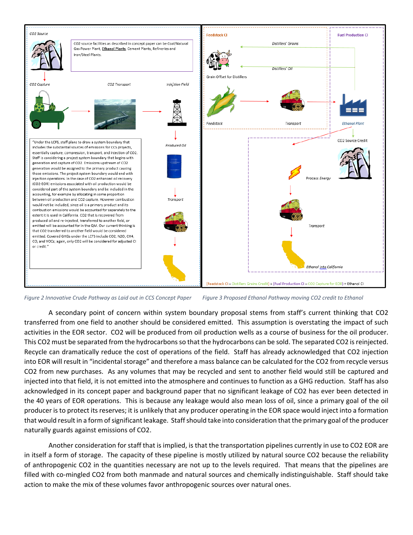

Figure 2 Innovative Crude Pathway as Laid out in CCS Concept Paper Figure 3 Proposed Ethanol Pathway moving CO2 credit to Ethanol

A secondary point of concern within system boundary proposal stems from staff's current thinking that CO2 transferred from one field to another should be considered emitted. This assumption is overstating the impact of such activities in the EOR sector. CO2 will be produced from oil production wells as a course of business for the oil producer. This CO2 must be separated from the hydrocarbons so that the hydrocarbons can be sold. The separated CO2 is reinjected. Recycle can dramatically reduce the cost of operations of the field. Staff has already acknowledged that CO2 injection into EOR will result in "incidental storage" and therefore a mass balance can be calculated for the CO2 from recycle versus CO2 from new purchases. As any volumes that may be recycled and sent to another field would still be captured and injected into that field, it is not emitted into the atmosphere and continues to function as a GHG reduction. Staff has also acknowledged in its concept paper and background paper that no significant leakage of CO2 has ever been detected in the 40 years of EOR operations. This is because any leakage would also mean loss of oil, since a primary goal of the oil producer is to protect its reserves; it is unlikely that any producer operating in the EOR space would inject into a formation that would result in a form of significant leakage. Staff should take into consideration that the primary goal of the producer naturally guards against emissions of CO2.

Another consideration for staff that is implied, is that the transportation pipelines currently in use to CO2 EOR are in itself a form of storage. The capacity of these pipeline is mostly utilized by natural source CO2 because the reliability of anthropogenic CO2 in the quantities necessary are not up to the levels required. That means that the pipelines are filled with co-mingled CO2 from both manmade and natural sources and chemically indistinguishable. Staff should take action to make the mix of these volumes favor anthropogenic sources over natural ones.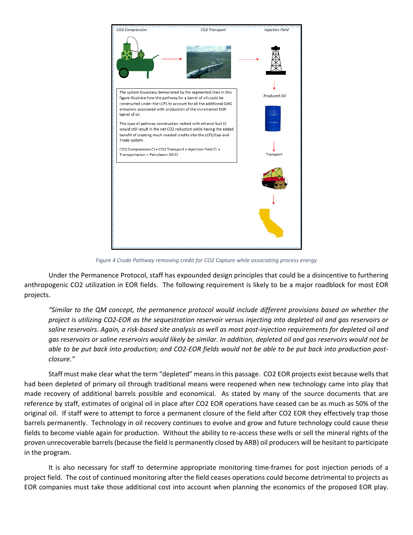

*Figure 4 Crude Pathway removing credit for CO2 Capture while associating process energy*

Under the Permanence Protocol, staff has expounded design principles that could be a disincentive to furthering anthropogenic CO2 utilization in EOR fields. The following requirement is likely to be a major roadblock for most EOR projects.

*"Similar to the QM concept, the permanence protocol would include different provisions based on whether the* project is utilizing CO2-EOR as the sequestration reservoir versus injecting into depleted oil and gas reservoirs or saline reservoirs. Again, a risk-based site analysis as well as most post-injection requirements for depleted oil and gas reservoirs or saline reservoirs would likely be similar. In addition, depleted oil and gas reservoirs would not be able to be put back into production; and CO2-EOR fields would not be able to be put back into production post*closure."*

Staff must make clear what the term "depleted" means in this passage. CO2 EOR projects exist because wells that had been depleted of primary oil through traditional means were reopened when new technology came into play that made recovery of additional barrels possible and economical. As stated by many of the source documents that are reference by staff, estimates of original oil in place after CO2 EOR operations have ceased can be as much as 50% of the original oil. If staff were to attempt to force a permanent closure of the field after CO2 EOR they effectively trap those barrels permanently. Technology in oil recovery continues to evolve and grow and future technology could cause these fields to become viable again for production. Without the ability to re-access these wells or sell the mineral rights of the proven unrecoverable barrels(because the field is permanently closed by ARB) oil producers will be hesitant to participate in the program.

It is also necessary for staff to determine appropriate monitoring time‐frames for post injection periods of a project field. The cost of continued monitoring after the field ceases operations could become detrimental to projects as EOR companies must take those additional cost into account when planning the economics of the proposed EOR play.